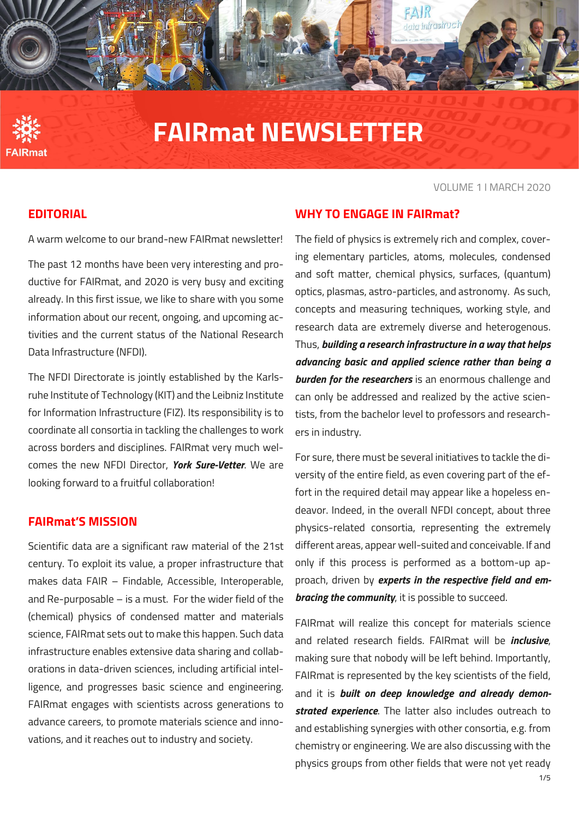

# **FAIRmat NEWSLETTER**

#### VOLUME 1 I MARCH 2020

### **EDITORIAL**

A warm welcome to our brand-new FAIRmat newsletter!

The past 12 months have been very interesting and productive for FAIRmat, and 2020 is very busy and exciting already. In this first issue, we like to share with you some information about our recent, ongoing, and upcoming activities and the current status of the National Research Data Infrastructure (NFDI).

The NFDI Directorate is jointly established by the Karlsruhe Institute of Technology (KIT) and the Leibniz Institute for Information Infrastructure (FIZ). Its responsibility is to coordinate all consortia in tackling the challenges to work across borders and disciplines. FAIRmat very much welcomes the new NFDI Director, *York Sure-Vetter*. We are looking forward to a fruitful collaboration!

#### **FAIRmat'S MISSION**

Scientific data are a significant raw material of the 21st century. To exploit its value, a proper infrastructure that makes data FAIR – Findable, Accessible, Interoperable, and Re-purposable – is a must. For the wider field of the (chemical) physics of condensed matter and materials science, FAIRmat sets out to make this happen. Such data infrastructure enables extensive data sharing and collaborations in data-driven sciences, including artificial intelligence, and progresses basic science and engineering. FAIRmat engages with scientists across generations to advance careers, to promote materials science and innovations, and it reaches out to industry and society.

# **WHY TO ENGAGE IN FAIRmat?**

The field of physics is extremely rich and complex, covering elementary particles, atoms, molecules, condensed and soft matter, chemical physics, surfaces, (quantum) optics, plasmas, astro-particles, and astronomy. As such, concepts and measuring techniques, working style, and research data are extremely diverse and heterogenous. Thus, *building a research infrastructure in a way that helps advancing basic and applied science rather than being a burden for the researchers* is an enormous challenge and can only be addressed and realized by the active scientists, from the bachelor level to professors and researchers in industry.

.<br>DUNebrini bibb

For sure, there must be several initiatives to tackle the diversity of the entire field, as even covering part of the effort in the required detail may appear like a hopeless endeavor. Indeed, in the overall NFDI concept, about three physics-related consortia, representing the extremely different areas, appear well-suited and conceivable. If and only if this process is performed as a bottom-up approach, driven by *experts in the respective field and embracing the community*, it is possible to succeed.

FAIRmat will realize this concept for materials science and related research fields. FAIRmat will be *inclusive*, making sure that nobody will be left behind. Importantly, FAIRmat is represented by the key scientists of the field, and it is *built on deep knowledge and already demonstrated experience*. The latter also includes outreach to and establishing synergies with other consortia, e.g. from chemistry or engineering. We are also discussing with the physics groups from other fields that were not yet ready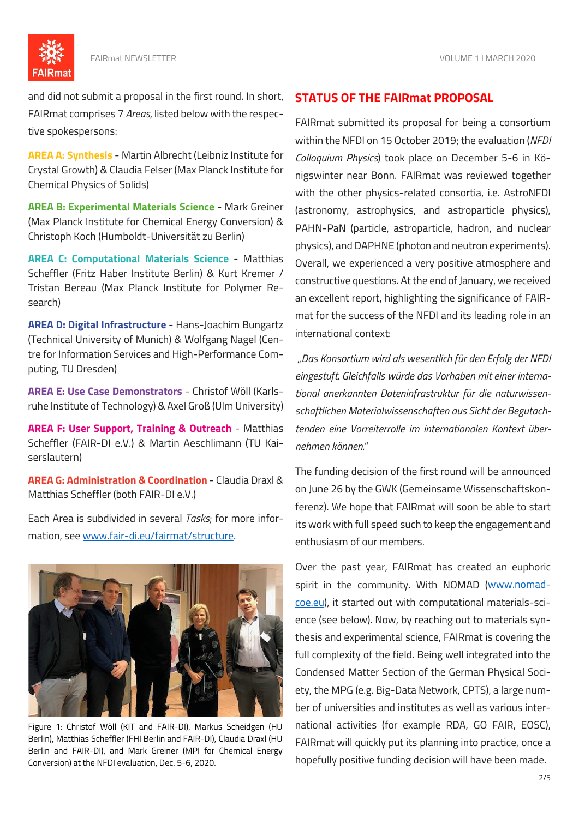

and did not submit a proposal in the first round. In short, FAIRmat comprises 7 *Areas*, listed below with the respective spokespersons:

**AREA A: Synthesis** - Martin Albrecht (Leibniz Institute for Crystal Growth) & Claudia Felser (Max Planck Institute for Chemical Physics of Solids)

**AREA B: Experimental Materials Science** - Mark Greiner (Max Planck Institute for Chemical Energy Conversion) & Christoph Koch (Humboldt-Universität zu Berlin)

**AREA C: Computational Materials Science** - Matthias Scheffler (Fritz Haber Institute Berlin) & Kurt Kremer / Tristan Bereau (Max Planck Institute for Polymer Research)

**AREA D: Digital Infrastructure** - Hans-Joachim Bungartz (Technical University of Munich) & Wolfgang Nagel (Centre for Information Services and High-Performance Computing, TU Dresden)

**AREA E: Use Case Demonstrators** - Christof Wöll (Karlsruhe Institute of Technology) & Axel Groß (Ulm University)

**AREA F: User Support, Training & Outreach** - Matthias Scheffler (FAIR-DI e.V.) & Martin Aeschlimann (TU Kaiserslautern)

**AREA G: Administration & Coordination** - Claudia Draxl & Matthias Scheffler (both FAIR-DI e.V.)

Each Area is subdivided in several *Tasks*; for more information, see [www.fair-di.eu/fairmat/structure.](https://www.fair-di.eu/fairmat/structure)



Figure 1: Christof Wöll (KIT and FAIR-DI), Markus Scheidgen (HU Berlin), Matthias Scheffler (FHI Berlin and FAIR-DI), Claudia Draxl (HU Berlin and FAIR-DI), and Mark Greiner (MPI for Chemical Energy Conversion) at the NFDI evaluation, Dec. 5-6, 2020.

#### **STATUS OF THE FAIRmat PROPOSAL**

FAIRmat submitted its proposal for being a consortium within the NFDI on 15 October 2019; the evaluation (*NFDI Colloquium Physics*) took place on December 5-6 in Königswinter near Bonn. FAIRmat was reviewed together with the other physics-related consortia, i.e. AstroNFDI (astronomy, astrophysics, and astroparticle physics), PAHN-PaN (particle, astroparticle, hadron, and nuclear physics), and DAPHNE (photon and neutron experiments). Overall, we experienced a very positive atmosphere and constructive questions. At the end of January, we received an excellent report, highlighting the significance of FAIRmat for the success of the NFDI and its leading role in an international context:

"*Das Konsortium wird als wesentlich für den Erfolg der NFDI eingestuft. Gleichfalls würde das Vorhaben mit einer international anerkannten Dateninfrastruktur für die naturwissenschaftlichen Materialwissenschaften aus Sicht der Begutachtenden eine Vorreiterrolle im internationalen Kontext übernehmen können.*"

The funding decision of the first round will be announced on June 26 by the GWK (Gemeinsame Wissenschaftskonferenz). We hope that FAIRmat will soon be able to start its work with full speed such to keep the engagement and enthusiasm of our members.

Over the past year, FAIRmat has created an euphoric spirit in the community. With NOMAD [\(www.nomad](http://www.nomad-coe.eu/)[coe.eu\)](http://www.nomad-coe.eu/), it started out with computational materials-science (see below). Now, by reaching out to materials synthesis and experimental science, FAIRmat is covering the full complexity of the field. Being well integrated into the Condensed Matter Section of the German Physical Society, the MPG (e.g. Big-Data Network, CPTS), a large number of universities and institutes as well as various international activities (for example RDA, GO FAIR, EOSC), FAIRmat will quickly put its planning into practice, once a hopefully positive funding decision will have been made.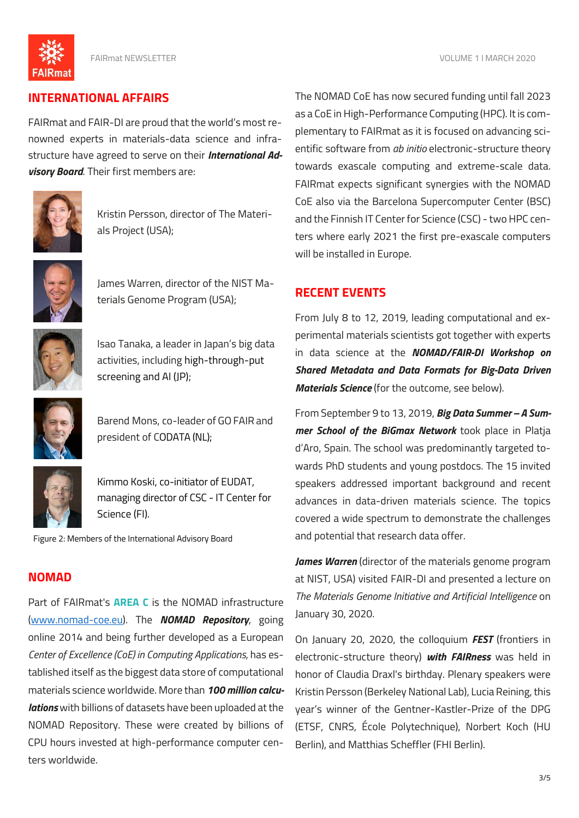**FAIRmat** 

FAIRmat NEWSLETTER VOLUME 1 I MARCH 2020

# **INTERNATIONAL AFFAIRS**

FAIRmat and FAIR-DI are proud that the world's most renowned experts in materials-data science and infrastructure have agreed to serve on their *International Advisory Board*. Their first members are:



Kristin Persson, director of The Materials Project (USA);



James Warren, director of the NIST Materials Genome Program (USA);



Isao Tanaka, a leader in Japan's big data activities, including high-through-put screening and AI (JP);



Barend Mons, co-leader of GOFAIR and president of CODATA (NL);



Kimmo Koski, co-initiator of EUDAT, managing director of CSC - IT Center for Science (FI).

Figure 2: Members of the International Advisory Board

# **NOMAD**

Part of FAIRmat's **AREA C** is the NOMAD infrastructure [\(www.nomad-coe.eu\)](http://www.nomad-coe.eu/). The *NOMAD Repository*, going online 2014 and being further developed as a European *Center of Excellence (CoE) in Computing Applications,* has established itself as the biggest data store of computational materials science worldwide. More than *100 million calculations* with billions of datasets have been uploaded at the NOMAD Repository. These were created by billions of CPU hours invested at high-performance computer centers worldwide.

The NOMAD CoE has now secured funding until fall 2023 as a CoE in High-Performance Computing (HPC). It is complementary to FAIRmat as it is focused on advancing scientific software from *ab initio* electronic-structure theory towards exascale computing and extreme-scale data. FAIRmat expects significant synergies with the NOMAD CoE also via the Barcelona Supercomputer Center (BSC) and the Finnish IT Center for Science (CSC) - two HPC centers where early 2021 the first pre-exascale computers will be installed in Europe.

# **RECENT EVENTS**

From July 8 to 12, 2019, leading computational and experimental materials scientists got together with experts in data science at the *NOMAD/FAIR-DI Workshop on Shared Metadata and Data Formats for Big-Data Driven Materials Science* (for the outcome, see below).

From September 9 to 13, 2019, *Big Data Summer – A Summer School of the BiGmax Network* took place in Platja d'Aro, Spain. The school was predominantly targeted towards PhD students and young postdocs. The 15 invited speakers addressed important background and recent advances in data-driven materials science. The topics covered a wide spectrum to demonstrate the challenges and potential that research data offer.

*James Warren* (director of the materials genome program at NIST, USA) visited FAIR-DI and presented a lecture on *The Materials Genome Initiative and Artificial Intelligence* on January 30, 2020.

On January 20, 2020, the colloquium *FEST* (frontiers in electronic-structure theory) *with FAIRness* was held in honor of Claudia Draxl's birthday. Plenary speakers were Kristin Persson (Berkeley National Lab), Lucia Reining, this year's winner of the Gentner-Kastler-Prize of the DPG (ETSF, CNRS, École Polytechnique), Norbert Koch (HU Berlin), and Matthias Scheffler (FHI Berlin).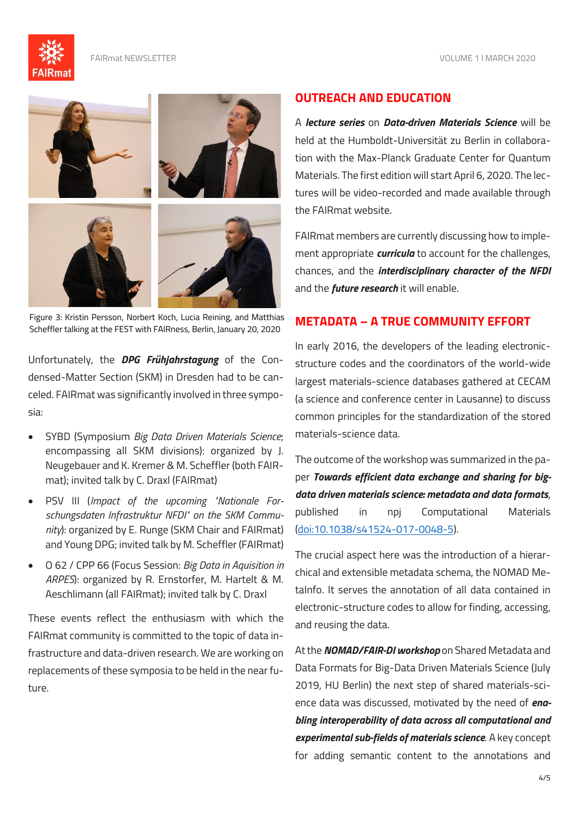



Figure 3: Kristin Persson, Norbert Koch, Lucia Reining, and Matthias Scheffler talking at the FEST with FAIRness, Berlin, January 20, 2020

Unfortunately, the *DPG Frühjahrstagung* of the Condensed-Matter Section (SKM) in Dresden had to be canceled. FAIRmat was significantly involved in three symposia:

- SYBD (Symposium *Big Data Driven Materials Science*; encompassing all SKM divisions): organized by J. Neugebauer and K. Kremer & M. Scheffler (both FAIRmat); invited talk by C. Draxl (FAIRmat)
- PSV III (*Impact of the upcoming "Nationale Forschungsdaten Infrastruktur NFDI" on the SKM Community*): organized by E. Runge (SKM Chair and FAIRmat) and Young DPG; invited talk by M. Scheffler (FAIRmat)
- O 62 / CPP 66 (Focus Session: *Big Data in Aquisition in ARPES*): organized by R. Ernstorfer, M. Hartelt & M. Aeschlimann (all FAIRmat); invited talk by C. Draxl

These events reflect the enthusiasm with which the FAIRmat community is committed to the topic of data infrastructure and data-driven research. We are working on replacements of these symposia to be held in the near future.

#### **OUTREACH AND EDUCATION**

A *lecture series* on *Data-driven Materials Science* will be held at the Humboldt-Universität zu Berlin in collaboration with the Max-Planck Graduate Center for Quantum Materials. The first edition will start April 6, 2020. The lectures will be video-recorded and made available through the FAIRmat website.

FAIRmat members are currently discussing how to implement appropriate *curricula* to account for the challenges, chances, and the *interdisciplinary character of the NFDI* and the *future research* it will enable.

## **METADATA – A TRUE COMMUNITY EFFORT**

In early 2016, the developers of the leading electronicstructure codes and the coordinators of the world-wide largest materials-science databases gathered at CECAM (a science and conference center in Lausanne) to discuss common principles for the standardization of the stored materials-science data.

The outcome of the workshop was summarized in the paper *Towards efficient data exchange and sharing for bigdata driven materials science: metadata and data formats*, published in npj Computational Materials [\(doi:10.1038/s41524-017-0048-5\)](https://www.nature.com/articles/s41524-017-0048-5).

The crucial aspect here was the introduction of a hierarchical and extensible metadata schema, the NOMAD MetaInfo. It serves the annotation of all data contained in electronic-structure codes to allow for finding, accessing, and reusing the data.

At the *NOMAD/FAIR-DI workshop* on Shared Metadata and Data Formats for Big-Data Driven Materials Science (July 2019, HU Berlin) the next step of shared materials-science data was discussed, motivated by the need of *enabling interoperability of data across all computational and experimental sub-fields of materials science*. A key concept for adding semantic content to the annotations and